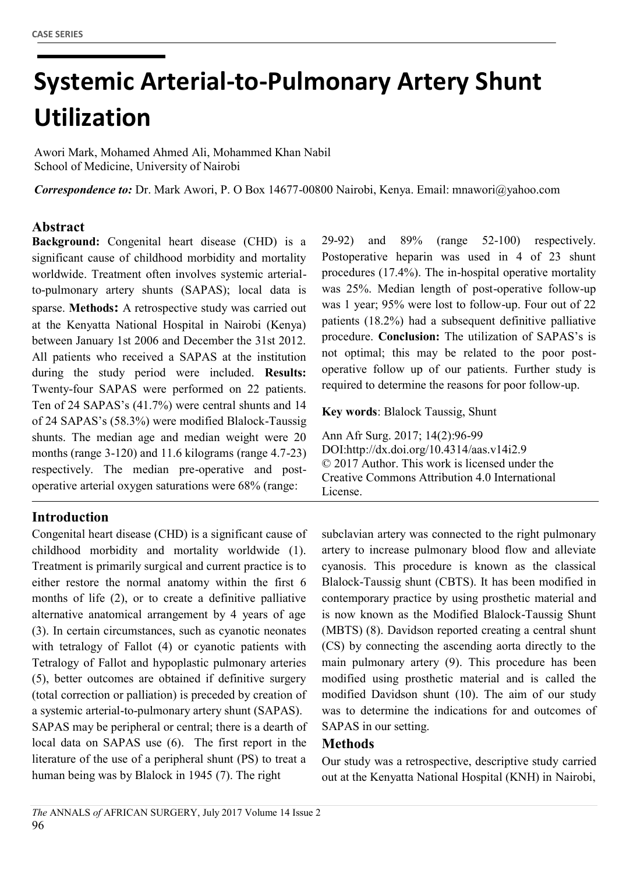# **b Systemic Arterial-to-Pulmonary Artery Shunt Utilization**

Awori Mark, Mohamed Ahmed Ali, Mohammed Khan Nabil School of Medicine, University of Nairobi

Correspondence to: Dr. Mark Awori, P. O Box 14677-00800 Nairobi, Kenya. Email: [mnawori@yahoo.com](mailto:mnawori@yahoo.com)

### **Abstract**

**Background:** Congenital heart disease (CHD) is a significant cause of childhood morbidity and mortality worldwide. Treatment often involves systemic arterialto-pulmonary artery shunts (SAPAS); local data is sparse. **Methods:** A retrospective study was carried out at the Kenyatta National Hospital in Nairobi (Kenya) between January 1st 2006 and December the 31st 2012. All patients who received a SAPAS at the institution during the study period were included. **Results:** Twenty-four SAPAS were performed on 22 patients. Ten of 24 SAPAS's (41.7%) were central shunts and 14 of 24 SAPAS's (58.3%) were modified Blalock-Taussig shunts. The median age and median weight were 20 months (range 3-120) and 11.6 kilograms (range 4.7-23) respectively. The median pre-operative and postoperative arterial oxygen saturations were 68% (range:

## **Introduction**

Congenital heart disease (CHD) is a significant cause of childhood morbidity and mortality worldwide (1). Treatment is primarily surgical and current practice is to either restore the normal anatomy within the first 6 months of life (2), or to create a definitive palliative alternative anatomical arrangement by 4 years of age (3). In certain circumstances, such as cyanotic neonates with tetralogy of Fallot (4) or cyanotic patients with Tetralogy of Fallot and hypoplastic pulmonary arteries (5), better outcomes are obtained if definitive surgery (total correction or palliation) is preceded by creation of a systemic arterial-to-pulmonary artery shunt (SAPAS). SAPAS may be peripheral or central; there is a dearth of local data on SAPAS use (6). The first report in the literature of the use of a peripheral shunt (PS) to treat a human being was by Blalock in 1945 (7). The right

29-92) and 89% (range 52-100) respectively. Postoperative heparin was used in 4 of 23 shunt procedures (17.4%). The in-hospital operative mortality was 25%. Median length of post-operative follow-up was 1 year; 95% were lost to follow-up. Four out of 22 patients (18.2%) had a subsequent definitive palliative procedure. **Conclusion:** The utilization of SAPAS's is not optimal; this may be related to the poor postoperative follow up of our patients. Further study is required to determine the reasons for poor follow-up.

**Key words**: Blalock Taussig, Shunt

Ann Afr Surg. 2017; 14(2):96-99 DOI:http://dx.doi.org/10.4314/aas.v14i2.9 © 2017 Author. This work is licensed under the Creative Commons Attribution 4.0 International License.

subclavian artery was connected to the right pulmonary artery to increase pulmonary blood flow and alleviate cyanosis. This procedure is known as the classical Blalock-Taussig shunt (CBTS). It has been modified in contemporary practice by using prosthetic material and is now known as the Modified Blalock-Taussig Shunt (MBTS) (8). Davidson reported creating a central shunt (CS) by connecting the ascending aorta directly to the main pulmonary artery (9). This procedure has been modified using prosthetic material and is called the modified Davidson shunt (10). The aim of our study was to determine the indications for and outcomes of SAPAS in our setting.

#### **Methods**

Our study was a retrospective, descriptive study carried out at the Kenyatta National Hospital (KNH) in Nairobi,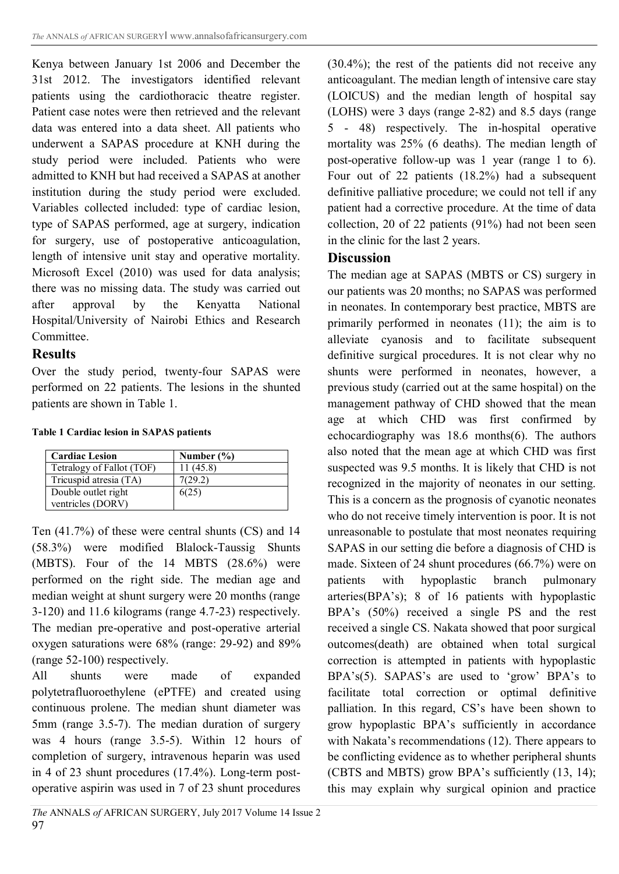Kenya between January 1st 2006 and December the 31st 2012. The investigators identified relevant patients using the cardiothoracic theatre register. Patient case notes were then retrieved and the relevant data was entered into a data sheet. All patients who underwent a SAPAS procedure at KNH during the study period were included. Patients who were admitted to KNH but had received a SAPAS at another institution during the study period were excluded. Variables collected included: type of cardiac lesion, type of SAPAS performed, age at surgery, indication for surgery, use of postoperative anticoagulation, length of intensive unit stay and operative mortality. Microsoft Excel (2010) was used for data analysis; there was no missing data. The study was carried out after approval by the Kenyatta National Hospital/University of Nairobi Ethics and Research Committee.

### **Results**

Over the study period, twenty-four SAPAS were performed on 22 patients. The lesions in the shunted patients are shown in Table 1.

#### **Table 1 Cardiac lesion in SAPAS patients**

| <b>Cardiac Lesion</b>     | Number $(\% )$ |
|---------------------------|----------------|
| Tetralogy of Fallot (TOF) | 11(45.8)       |
| Tricuspid atresia (TA)    | 7(29.2)        |
| Double outlet right       | 6(25)          |
| ventricles (DORV)         |                |

Ten (41.7%) of these were central shunts (CS) and 14 (58.3%) were modified Blalock-Taussig Shunts (MBTS). Four of the 14 MBTS (28.6%) were performed on the right side. The median age and median weight at shunt surgery were 20 months (range 3-120) and 11.6 kilograms (range 4.7-23) respectively. The median pre-operative and post-operative arterial oxygen saturations were 68% (range: 29-92) and 89% (range 52-100) respectively.

All shunts were made of expanded polytetrafluoroethylene (ePTFE) and created using continuous prolene. The median shunt diameter was 5mm (range 3.5-7). The median duration of surgery was 4 hours (range 3.5-5). Within 12 hours of completion of surgery, intravenous heparin was used in 4 of 23 shunt procedures (17.4%). Long-term postoperative aspirin was used in 7 of 23 shunt procedures (30.4%); the rest of the patients did not receive any anticoagulant. The median length of intensive care stay (LOICUS) and the median length of hospital say (LOHS) were 3 days (range 2-82) and 8.5 days (range 5 - 48) respectively. The in-hospital operative mortality was 25% (6 deaths). The median length of post-operative follow-up was 1 year (range 1 to 6). Four out of 22 patients (18.2%) had a subsequent definitive palliative procedure; we could not tell if any patient had a corrective procedure. At the time of data collection, 20 of 22 patients (91%) had not been seen in the clinic for the last 2 years.

#### **Discussion**

The median age at SAPAS (MBTS or CS) surgery in our patients was 20 months; no SAPAS was performed in neonates. In contemporary best practice, MBTS are primarily performed in neonates (11); the aim is to alleviate cyanosis and to facilitate subsequent definitive surgical procedures. It is not clear why no shunts were performed in neonates, however, a previous study (carried out at the same hospital) on the management pathway of CHD showed that the mean age at which CHD was first confirmed by echocardiography was 18.6 months(6). The authors also noted that the mean age at which CHD was first suspected was 9.5 months. It is likely that CHD is not recognized in the majority of neonates in our setting. This is a concern as the prognosis of cyanotic neonates who do not receive timely intervention is poor. It is not unreasonable to postulate that most neonates requiring SAPAS in our setting die before a diagnosis of CHD is made. Sixteen of 24 shunt procedures (66.7%) were on patients with hypoplastic branch pulmonary arteries(BPA's); 8 of 16 patients with hypoplastic BPA's (50%) received a single PS and the rest received a single CS. Nakata showed that poor surgical outcomes(death) are obtained when total surgical correction is attempted in patients with hypoplastic BPA's(5). SAPAS's are used to 'grow' BPA's to facilitate total correction or optimal definitive palliation. In this regard, CS's have been shown to grow hypoplastic BPA's sufficiently in accordance with Nakata's recommendations (12). There appears to be conflicting evidence as to whether peripheral shunts (CBTS and MBTS) grow BPA's sufficiently (13, 14); this may explain why surgical opinion and practice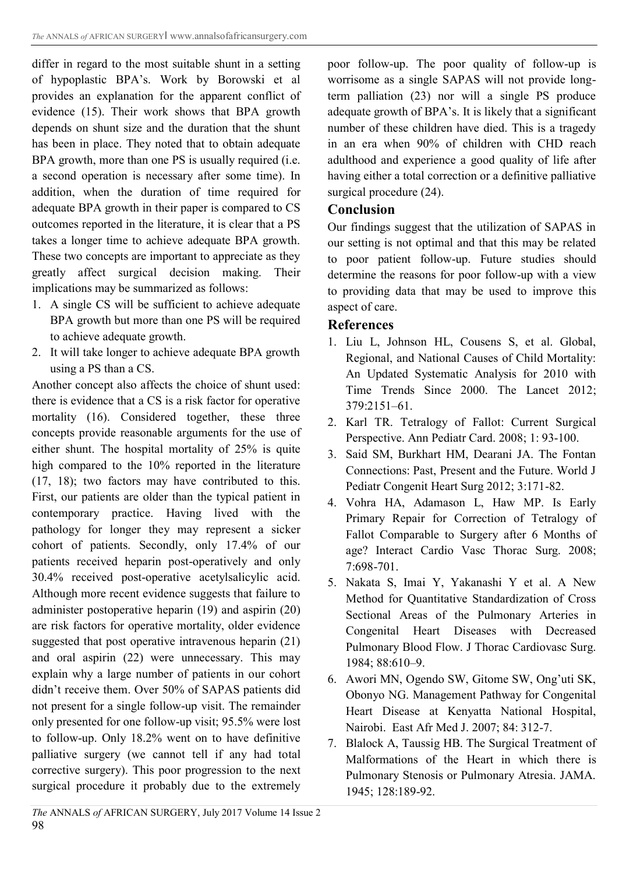differ in regard to the most suitable shunt in a setting of hypoplastic BPA's. Work by Borowski et al provides an explanation for the apparent conflict of evidence (15). Their work shows that BPA growth depends on shunt size and the duration that the shunt has been in place. They noted that to obtain adequate BPA growth, more than one PS is usually required (i.e. a second operation is necessary after some time). In addition, when the duration of time required for adequate BPA growth in their paper is compared to CS outcomes reported in the literature, it is clear that a PS takes a longer time to achieve adequate BPA growth. These two concepts are important to appreciate as they greatly affect surgical decision making. Their implications may be summarized as follows:

- 1. A single CS will be sufficient to achieve adequate BPA growth but more than one PS will be required to achieve adequate growth.
- 2. It will take longer to achieve adequate BPA growth using a PS than a CS.

Another concept also affects the choice of shunt used: there is evidence that a CS is a risk factor for operative mortality (16). Considered together, these three concepts provide reasonable arguments for the use of either shunt. The hospital mortality of 25% is quite high compared to the 10% reported in the literature (17, 18); two factors may have contributed to this. First, our patients are older than the typical patient in contemporary practice. Having lived with the pathology for longer they may represent a sicker cohort of patients. Secondly, only 17.4% of our patients received heparin post-operatively and only 30.4% received post-operative acetylsalicylic acid. Although more recent evidence suggests that failure to administer postoperative heparin (19) and aspirin (20) are risk factors for operative mortality, older evidence suggested that post operative intravenous heparin (21) and oral aspirin (22) were unnecessary. This may explain why a large number of patients in our cohort didn't receive them. Over 50% of SAPAS patients did not present for a single follow-up visit. The remainder only presented for one follow-up visit; 95.5% were lost to follow-up. Only 18.2% went on to have definitive palliative surgery (we cannot tell if any had total corrective surgery). This poor progression to the next surgical procedure it probably due to the extremely

poor follow-up. The poor quality of follow-up is worrisome as a single SAPAS will not provide longterm palliation (23) nor will a single PS produce adequate growth of BPA's. It is likely that a significant number of these children have died. This is a tragedy in an era when 90% of children with CHD reach adulthood and experience a good quality of life after having either a total correction or a definitive palliative surgical procedure (24).

#### **Conclusion**

Our findings suggest that the utilization of SAPAS in our setting is not optimal and that this may be related to poor patient follow-up. Future studies should determine the reasons for poor follow-up with a view to providing data that may be used to improve this aspect of care.

### **References**

- 1. Liu L, Johnson HL, Cousens S, et al. Global, Regional, and National Causes of Child Mortality: An Updated Systematic Analysis for 2010 with Time Trends Since 2000. The Lancet 2012; 379:2151–61.
- 2. Karl TR. Tetralogy of Fallot: Current Surgical Perspective. Ann Pediatr Card. 2008; 1: 93-100.
- 3. Said SM, Burkhart HM, Dearani JA. The Fontan Connections: Past, Present and the Future. World J Pediatr Congenit Heart Surg 2012; 3:171-82.
- 4. Vohra HA, Adamason L, Haw MP. Is Early Primary Repair for Correction of Tetralogy of Fallot Comparable to Surgery after 6 Months of age? Interact Cardio Vasc Thorac Surg. 2008; 7:698-701.
- 5. Nakata S, Imai Y, Yakanashi Y et al. A New Method for Quantitative Standardization of Cross Sectional Areas of the Pulmonary Arteries in Congenital Heart Diseases with Decreased Pulmonary Blood Flow. J Thorac Cardiovasc Surg. 1984; 88:610–9.
- 6. Awori MN, Ogendo SW, Gitome SW, Ong'uti SK, Obonyo NG. Management Pathway for Congenital Heart Disease at Kenyatta National Hospital, Nairobi. East Afr Med J. 2007; 84: 312-7.
- 7. Blalock A, Taussig HB. The Surgical Treatment of Malformations of the Heart in which there is Pulmonary Stenosis or Pulmonary Atresia. JAMA. 1945; 128:189-92.